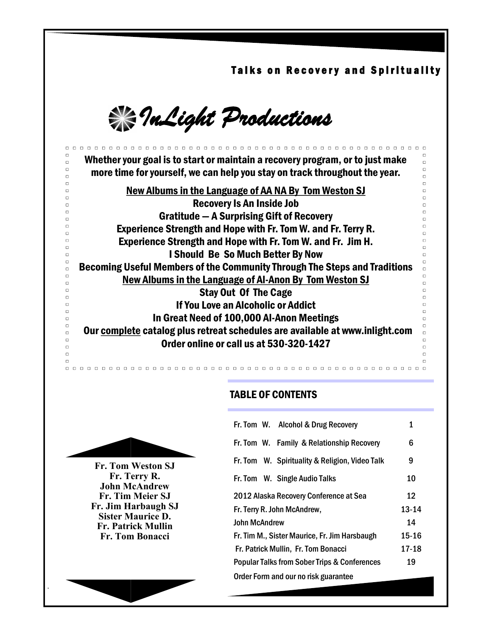Talks on Recovery and Spirituality

 $\Box$ 

 $\Box$ 

 $\Box$ 

 $\Box$ 

 $\Box$ 

 $\Box$  $\Box$ 

 $\Box$ 

 $\Box$ 

 $\Box$ 

 $\Box$ 

 $\Box$ 

 $\Box$ 

 $\Box$ 

 $\Box$ 

 $\Box$ 

 $\Box$ 

 $\Box$ 

 $\Box$ 

 $\Box$ 

 $\Box$ 

 $\Box$ 

 $\Box$ 

 $\Box$ 

 $\Box$ 

 $\Box$ 

*InLight Productions* 

Whether your goal is to start or maintain a recovery program, or to just make more time for yourself, we can help you stay on track throughout the year.

New Albums in the Language of AA NA By Tom Weston SJ Recovery Is An Inside Job Gratitude — A Surprising Gift of Recovery Experience Strength and Hope with Fr. Tom W. and Fr. Terry R. Experience Strength and Hope with Fr. Tom W. and Fr. Jim H. I Should Be So Much Better By Now Becoming Useful Members of the Community Through The Steps and Traditions New Albums in the Language of Al-Anon By Tom Weston SJ Stay Out Of The Cage If You Love an Alcoholic or Addict In Great Need of 100,000 Al-Anon Meetings Our complete catalog plus retreat schedules are available at www.inlight.com Order online or call us at 530-320-1427

## TABLE OF CONTENTS



**Fr. Tom Weston SJ Fr. Terry R. John McAndrew Fr. Tim Meier SJ Fr. Jim Harbaugh SJ Sister Maurice D. Fr. Patrick Mullin Fr. Tom Bonacci**

.

 $\Box$  $\Box$ 

 $\Box$ 

 $\Box$ 

 $\Box$ 

 $\Box$ 

 $\Box$ 

 $\Box$ 

 $\Box$  $\Box$ 

 $\Box$ 

 $\Box$ 

 $\Box$ 

 $\Box$ 

 $\Box$  $\Box$ 

 $\Box$ 

 $\Box$  $\Box$ 

 $\Box$ 

 $\Box$ 

 $\Box$ 

 $\Box$ 

 $\Box$ 

 $\Box$ 

 $\Box$ 

 $\Box$ 

 $\Box$ 

 $\Box$  $\Box$ 

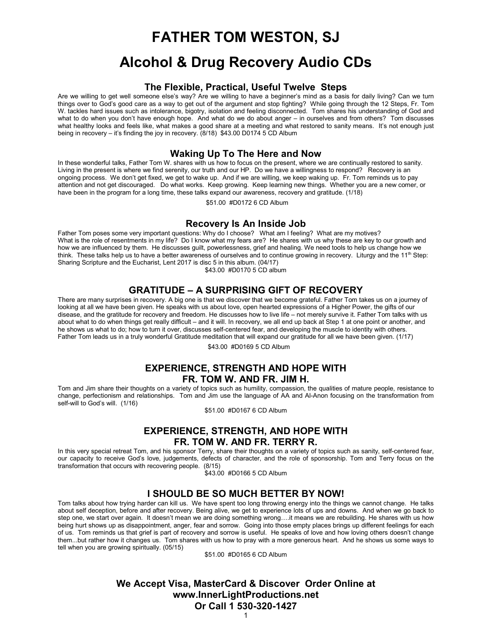# **FATHER TOM WESTON, SJ**

# **Alcohol & Drug Recovery Audio CDs**

#### **The Flexible, Practical, Useful Twelve Steps**

Are we willing to get well someone else's way? Are we willing to have a beginner's mind as a basis for daily living? Can we turn things over to God's good care as a way to get out of the argument and stop fighting? While going through the 12 Steps, Fr. Tom W. tackles hard issues such as intolerance, bigotry, isolation and feeling disconnected. Tom shares his understanding of God and what to do when you don't have enough hope. And what do we do about anger – in ourselves and from others? Tom discusses what healthy looks and feels like, what makes a good share at a meeting and what restored to sanity means. It's not enough just being in recovery – it's finding the joy in recovery. (8/18) \$43.00 D0174 5 CD Album

#### **Waking Up To The Here and Now**

In these wonderful talks, Father Tom W. shares with us how to focus on the present, where we are continually restored to sanity. Living in the present is where we find serenity, our truth and our HP. Do we have a willingness to respond? Recovery is an ongoing process. We don't get fixed, we get to wake up. And if we are willing, we keep waking up. Fr. Tom reminds us to pay attention and not get discouraged. Do what works. Keep growing. Keep learning new things. Whether you are a new comer, or have been in the program for a long time, these talks expand our awareness, recovery and gratitude. (1/18)

\$51.00 #D0172 6 CD Album

#### **Recovery Is An Inside Job**

Father Tom poses some very important questions: Why do I choose? What am I feeling? What are my motives? What is the role of resentments in my life? Do I know what my fears are? He shares with us why these are key to our growth and how we are influenced by them. He discusses guilt, powerlessness, grief and healing. We need tools to help us change how we think. These talks help us to have a better awareness of ourselves and to continue growing in recovery. Liturgy and the 11<sup>th</sup> Step: Sharing Scripture and the Eucharist, Lent 2017 is disc 5 in this album. (04/17)

\$43.00 #D0170 5 CD album

## **GRATITUDE – A SURPRISING GIFT OF RECOVERY**

There are many surprises in recovery. A big one is that we discover that we become grateful. Father Tom takes us on a journey of looking at all we have been given. He speaks with us about love, open hearted expressions of a Higher Power, the gifts of our disease, and the gratitude for recovery and freedom. He discusses how to live life – not merely survive it. Father Tom talks with us about what to do when things get really difficult – and it will. In recovery, we all end up back at Step 1 at one point or another, and he shows us what to do; how to turn it over, discusses self-centered fear, and developing the muscle to identity with others. Father Tom leads us in a truly wonderful Gratitude meditation that will expand our gratitude for all we have been given. (1/17)

\$43.00 #D0169 5 CD Album

#### **EXPERIENCE, STRENGTH AND HOPE WITH FR. TOM W. AND FR. JIM H.**

Tom and Jim share their thoughts on a variety of topics such as humility, compassion, the qualities of mature people, resistance to change, perfectionism and relationships. Tom and Jim use the language of AA and Al-Anon focusing on the transformation from self-will to God's will. (1/16)

\$51.00 #D0167 6 CD Album

## **EXPERIENCE, STRENGTH, AND HOPE WITH FR. TOM W. AND FR. TERRY R.**

In this very special retreat Tom, and his sponsor Terry, share their thoughts on a variety of topics such as sanity, self-centered fear, our capacity to receive God's love, judgements, defects of character, and the role of sponsorship. Tom and Terry focus on the transformation that occurs with recovering people. (8/15)

\$43.00 #D0166 5 CD Album

## **I SHOULD BE SO MUCH BETTER BY NOW!**

Tom talks about how trying harder can kill us. We have spent too long throwing energy into the things we cannot change. He talks about self deception, before and after recovery. Being alive, we get to experience lots of ups and downs. And when we go back to step one, we start over again. It doesn't mean we are doing something wrong….it means we are rebuilding. He shares with us how being hurt shows up as disappointment, anger, fear and sorrow. Going into those empty places brings up different feelings for each of us. Tom reminds us that grief is part of recovery and sorrow is useful. He speaks of love and how loving others doesn't change them...but rather how it changes us. Tom shares with us how to pray with a more generous heart. And he shows us some ways to tell when you are growing spiritually. (05/15)

\$51.00 #D0165 6 CD Album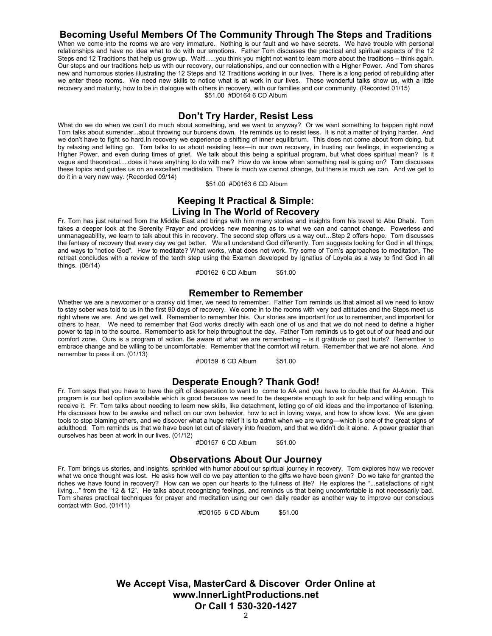## **Becoming Useful Members Of The Community Through The Steps and Traditions**

When we come into the rooms we are very immature. Nothing is our fault and we have secrets. We have trouble with personal relationships and have no idea what to do with our emotions. Father Tom discusses the practical and spiritual aspects of the 12 Steps and 12 Traditions that help us grow up. Wait!…..you think you might not want to learn more about the traditions – think again. Our steps and our traditions help us with our recovery, our relationships, and our connection with a Higher Power. And Tom shares new and humorous stories illustrating the 12 Steps and 12 Traditions working in our lives. There is a long period of rebuilding after we enter these rooms. We need new skills to notice what is at work in our lives. These wonderful talks show us, with a little recovery and maturity, how to be in dialogue with others in recovery, with our families and our community. (Recorded 01/15) \$51.00 #D0164 6 CD Album

#### **Don't Try Harder, Resist Less**

What do we do when we can't do much about something, and we want to anyway? Or we want something to happen right now! Tom talks about surrender...about throwing our burdens down. He reminds us to resist less. It is not a matter of trying harder. And we don't have to fight so hard.In recovery we experience a shifting of inner equilibrium. This does not come about from doing, but by relaxing and letting go. Tom talks to us about resisting less—in our own recovery, in trusting our feelings, in experiencing a Higher Power, and even during times of grief. We talk about this being a spiritual program, but what does spiritual mean? Is it vague and theoretical….does it have anything to do with me? How do we know when something real is going on? Tom discusses these topics and guides us on an excellent meditation. There is much we cannot change, but there is much we can. And we get to do it in a very new way. (Recorded 09/14)

\$51.00 #D0163 6 CD Album

## **Keeping It Practical & Simple: Living In The World of Recovery**

Fr. Tom has just returned from the Middle East and brings with him many stories and insights from his travel to Abu Dhabi. Tom takes a deeper look at the Serenity Prayer and provides new meaning as to what we can and cannot change. Powerless and unmanageability, we learn to talk about this in recovery. The second step offers us a way out…Step 2 offers hope. Tom discusses the fantasy of recovery that every day we get better. We all understand God differently. Tom suggests looking for God in all things, and ways to "notice God". How to meditate? What works, what does not work. Try some of Tom's approaches to meditation. The retreat concludes with a review of the tenth step using the Examen developed by Ignatius of Loyola as a way to find God in all things. (06/14)

#D0162 6 CD Album \$51.00

#### **Remember to Remember**

Whether we are a newcomer or a cranky old timer, we need to remember. Father Tom reminds us that almost all we need to know to stay sober was told to us in the first 90 days of recovery. We come in to the rooms with very bad attitudes and the Steps meet us right where we are. And we get well. Remember to remember this. Our stories are important for us to remember, and important for others to hear. We need to remember that God works directly with each one of us and that we do not need to define a higher power to tap in to the source. Remember to ask for help throughout the day. Father Tom reminds us to get out of our head and our comfort zone. Ours is a program of action. Be aware of what we are remembering – is it gratitude or past hurts? Remember to embrace change and be willing to be uncomfortable. Remember that the comfort will return. Remember that we are not alone. And remember to pass it on. (01/13)

#D0159 6 CD Album \$51.00

#### **Desperate Enough? Thank God!**

Fr. Tom says that you have to have the gift of desperation to want to come to AA and you have to double that for Al-Anon. This program is our last option available which is good because we need to be desperate enough to ask for help and willing enough to receive it. Fr. Tom talks about needing to learn new skills, like detachment, letting go of old ideas and the importance of listening. He discusses how to be awake and reflect on our own behavior, how to act in loving ways, and how to show love. We are given tools to stop blaming others, and we discover what a huge relief it is to admit when we are wrong—which is one of the great signs of adulthood. Tom reminds us that we have been let out of slavery into freedom, and that we didn't do it alone. A power greater than ourselves has been at work in our lives. (01/12)

#D0157 6 CD Album \$51.00

#### **Observations About Our Journey**

Fr. Tom brings us stories, and insights, sprinkled with humor about our spiritual journey in recovery. Tom explores how we recover what we once thought was lost. He asks how well do we pay attention to the gifts we have been given? Do we take for granted the riches we have found in recovery? How can we open our hearts to the fullness of life? He explores the "...satisfactions of right living…" from the "12 & 12". He talks about recognizing feelings, and reminds us that being uncomfortable is not necessarily bad. Tom shares practical techniques for prayer and meditation using our own daily reader as another way to improve our conscious contact with God. (01/11)

#D0155 6 CD Album \$51.00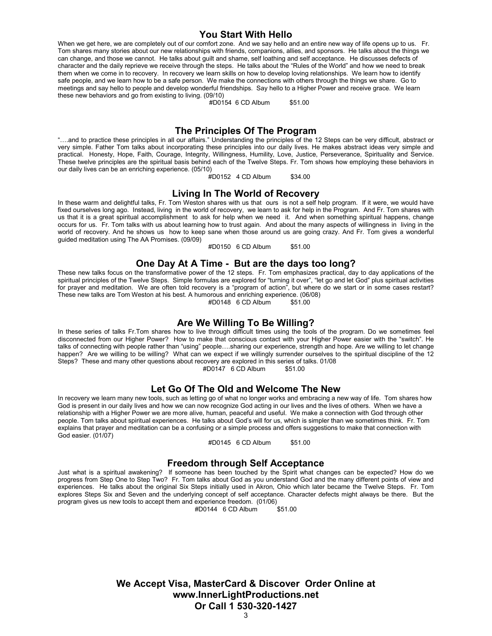#### **You Start With Hello**

When we get here, we are completely out of our comfort zone. And we say hello and an entire new way of life opens up to us. Fr. Tom shares many stories about our new relationships with friends, companions, allies, and sponsors. He talks about the things we can change, and those we cannot. He talks about guilt and shame, self loathing and self acceptance. He discusses defects of character and the daily reprieve we receive through the steps. He talks about the "Rules of the World" and how we need to break them when we come in to recovery. In recovery we learn skills on how to develop loving relationships. We learn how to identify safe people, and we learn how to be a safe person. We make the connections with others through the things we share. Go to meetings and say hello to people and develop wonderful friendships. Say hello to a Higher Power and receive grace. We learn these new behaviors and go from existing to living. (09/10)

#D0154 6 CD Album \$51.00

#### **The Principles Of The Program**

"….and to practice these principles in all our affairs." Understanding the principles of the 12 Steps can be very difficult, abstract or very simple. Father Tom talks about incorporating these principles into our daily lives. He makes abstract ideas very simple and practical. Honesty, Hope, Faith, Courage, Integrity, Willingness, Humility, Love, Justice, Perseverance, Spirituality and Service. These twelve principles are the spiritual basis behind each of the Twelve Steps. Fr. Tom shows how employing these behaviors in our daily lives can be an enriching experience. (05/10)

 $#$ D0152 4 CD Album \$34.00

#### **Living In The World of Recovery**

In these warm and delightful talks, Fr. Tom Weston shares with us that ours is not a self help program. If it were, we would have fixed ourselves long ago. Instead, living in the world of recovery, we learn to ask for help in the Program. And Fr. Tom shares with us that it is a great spiritual accomplishment to ask for help when we need it. And when something spiritual happens, change occurs for us. Fr. Tom talks with us about learning how to trust again. And about the many aspects of willingness in living in the world of recovery. And he shows us how to keep sane when those around us are going crazy. And Fr. Tom gives a wonderful guided meditation using The AA Promises. (09/09)

#D0150 6 CD Album \$51.00

#### **One Day At A Time - But are the days too long?**

These new talks focus on the transformative power of the 12 steps. Fr. Tom emphasizes practical, day to day applications of the spiritual principles of the Twelve Steps. Simple formulas are explored for "turning it over", "let go and let God" plus spiritual activities for prayer and meditation. We are often told recovery is a "program of action", but where do we start or in some cases restart? These new talks are Tom Weston at his best. A humorous and enriching experience. (06/08)

#D0148 6 CD Album \$51.00

#### **Are We Willing To Be Willing?**

In these series of talks Fr.Tom shares how to live through difficult times using the tools of the program. Do we sometimes feel disconnected from our Higher Power? How to make that conscious contact with your Higher Power easier with the "switch". He talks of connecting with people rather than "using" people….sharing our experience, strength and hope. Are we willing to let change happen? Are we willing to be willing? What can we expect if we willingly surrender ourselves to the spiritual discipline of the 12 Steps? These and many other questions about recovery are explored in this series of talks. 01/08

 $#D0147$  6 CD Album

#### **Let Go Of The Old and Welcome The New**

In recovery we learn many new tools, such as letting go of what no longer works and embracing a new way of life. Tom shares how God is present in our daily lives and how we can now recognize God acting in our lives and the lives of others. When we have a relationship with a Higher Power we are more alive, human, peaceful and useful. We make a connection with God through other people. Tom talks about spiritual experiences. He talks about God's will for us, which is simpler than we sometimes think. Fr. Tom explains that prayer and meditation can be a confusing or a simple process and offers suggestions to make that connection with God easier. (01/07)

#D0145 6 CD Album \$51.00

#### **Freedom through Self Acceptance**

Just what is a spiritual awakening? If someone has been touched by the Spirit what changes can be expected? How do we progress from Step One to Step Two? Fr. Tom talks about God as you understand God and the many different points of view and experiences. He talks about the original Six Steps initially used in Akron, Ohio which later became the Twelve Steps. Fr. Tom explores Steps Six and Seven and the underlying concept of self acceptance. Character defects might always be there. But the program gives us new tools to accept them and experience freedom. (01/06)<br>
#D0144 6 CD Album \$51.00#

 $\#$ D0144 6 CD Album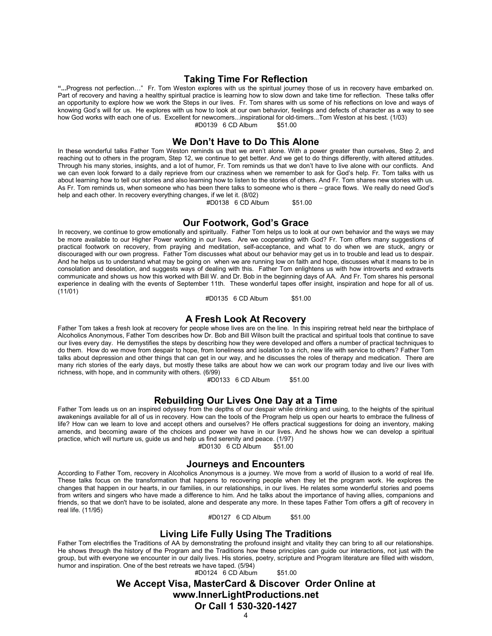#### **Taking Time For Reflection**

**"...**Progress not perfection…" Fr. Tom Weston explores with us the spiritual journey those of us in recovery have embarked on. Part of recovery and having a healthy spiritual practice is learning how to slow down and take time for reflection. These talks offer an opportunity to explore how we work the Steps in our lives. Fr. Tom shares with us some of his reflections on love and ways of knowing God's will for us. He explores with us how to look at our own behavior, feelings and defects of character as a way to see how God works with each one of us. Excellent for newcomers...inspirational for old-timers...Tom Weston at his best. (1/03) #D0139 6 CD Album

**We Don't Have to Do This Alone**

In these wonderful talks Father Tom Weston reminds us that we aren't alone. With a power greater than ourselves, Step 2, and reaching out to others in the program, Step 12, we continue to get better. And we get to do things differently, with altered attitudes. Through his many stories, insights, and a lot of humor, Fr. Tom reminds us that we don't have to live alone with our conflicts. And we can even look forward to a daily reprieve from our craziness when we remember to ask for God's help. Fr. Tom talks with us about learning how to tell our stories and also learning how to listen to the stories of others. And Fr. Tom shares new stories with us. As Fr. Tom reminds us, when someone who has been there talks to someone who is there – grace flows. We really do need God's help and each other. In recovery everything changes, if we let it. (8/02)

#D0138 6 CD Album \$51.00

#### **Our Footwork, God's Grace**

In recovery, we continue to grow emotionally and spiritually. Father Tom helps us to look at our own behavior and the ways we may be more available to our Higher Power working in our lives. Are we cooperating with God? Fr. Tom offers many suggestions of practical footwork on recovery, from praying and meditation, self-acceptance, and what to do when we are stuck, angry or discouraged with our own progress. Father Tom discusses what about our behavior may get us in to trouble and lead us to despair. And he helps us to understand what may be going on when we are running low on faith and hope, discusses what it means to be in consolation and desolation, and suggests ways of dealing with this. Father Tom enlightens us with how introverts and extraverts communicate and shows us how this worked with Bill W. and Dr. Bob in the beginning days of AA. And Fr. Tom shares his personal experience in dealing with the events of September 11th. These wonderful tapes offer insight, inspiration and hope for all of us.  $(11/01)$ 

#D0135 6 CD Album \$51.00

#### **A Fresh Look At Recovery**

Father Tom takes a fresh look at recovery for people whose lives are on the line. In this inspiring retreat held near the birthplace of Alcoholics Anonymous, Father Tom describes how Dr. Bob and Bill Wilson built the practical and spiritual tools that continue to save our lives every day. He demystifies the steps by describing how they were developed and offers a number of practical techniques to do them. How do we move from despair to hope, from loneliness and isolation to a rich, new life with service to others? Father Tom talks about depression and other things that can get in our way, and he discusses the roles of therapy and medication. There are many rich stories of the early days, but mostly these talks are about how we can work our program today and live our lives with richness, with hope, and in community with others. (6/99)

#D0133 6 CD Album \$51.00

#### **Rebuilding Our Lives One Day at a Time**

Father Tom leads us on an inspired odyssey from the depths of our despair while drinking and using, to the heights of the spiritual awakenings available for all of us in recovery. How can the tools of the Program help us open our hearts to embrace the fullness of life? How can we learn to love and accept others and ourselves? He offers practical suggestions for doing an inventory, making amends, and becoming aware of the choices and power we have in our lives. And he shows how we can develop a spiritual practice, which will nurture us, guide us and help us find serenity and peace. (1/97)

#D0130 6 CD Album \$51.00

#### **Journeys and Encounters**

According to Father Tom, recovery in Alcoholics Anonymous is a journey. We move from a world of illusion to a world of real life. These talks focus on the transformation that happens to recovering people when they let the program work. He explores the changes that happen in our hearts, in our families, in our relationships, in our lives. He relates some wonderful stories and poems from writers and singers who have made a difference to him. And he talks about the importance of having allies, companions and friends, so that we don't have to be isolated, alone and desperate any more. In these tapes Father Tom offers a gift of recovery in real life. (11/95)

#D0127 6 CD Album \$51.00

## **Living Life Fully Using The Traditions**

Father Tom electrifies the Traditions of AA by demonstrating the profound insight and vitality they can bring to all our relationships. He shows through the history of the Program and the Traditions how these principles can guide our interactions, not just with the group, but with everyone we encounter in our daily lives. His stories, poetry, scripture and Program literature are filled with wisdom, humor and inspiration. One of the best retreats we have taped. (5/94)

#D0124 6 CD Album \$51.00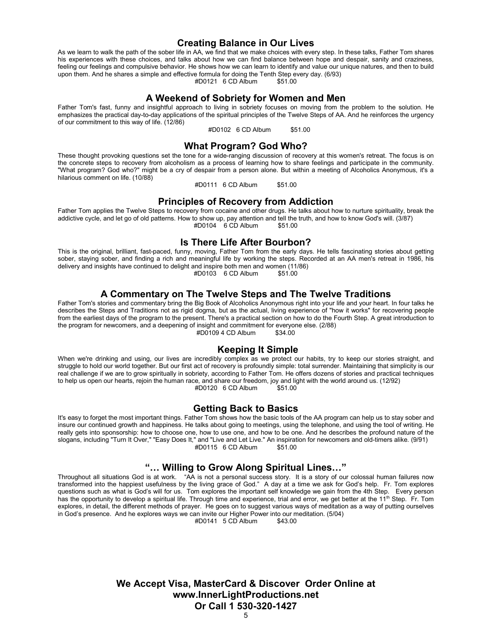#### **Creating Balance in Our Lives**

As we learn to walk the path of the sober life in AA, we find that we make choices with every step. In these talks, Father Tom shares his experiences with these choices, and talks about how we can find balance between hope and despair, sanity and craziness, feeling our feelings and compulsive behavior. He shows how we can learn to identify and value our unique natures, and then to build upon them. And he shares a simple and effective formula for doing the Tenth Step every day. (6/93)<br>
#D0121 6 CD Album \$51.00  $#D0121$  6 CD Album

#### **A Weekend of Sobriety for Women and Men**

Father Tom's fast, funny and insightful approach to living in sobriety focuses on moving from the problem to the solution. He emphasizes the practical day-to-day applications of the spiritual principles of the Twelve Steps of AA. And he reinforces the urgency of our commitment to this way of life. (12/86)

#D0102 6 CD Album \$51.00

#### **What Program? God Who?**

These thought provoking questions set the tone for a wide-ranging discussion of recovery at this women's retreat. The focus is on the concrete steps to recovery from alcoholism as a process of learning how to share feelings and participate in the community. "What program? God who?" might be a cry of despair from a person alone. But within a meeting of Alcoholics Anonymous, it's a hilarious comment on life. (10/88)

#D0111 6 CD Album \$51.00

#### **Principles of Recovery from Addiction**

Father Tom applies the Twelve Steps to recovery from cocaine and other drugs. He talks about how to nurture spirituality, break the addictive cycle, and let go of old patterns. How to show up, pay attention and tell the truth, and how to know God's will. (3/87)  $#D0104$  6 CD Album

#### **Is There Life After Bourbon?**

This is the original, brilliant, fast-paced, funny, moving, Father Tom from the early days. He tells fascinating stories about getting sober, staying sober, and finding a rich and meaningful life by working the steps. Recorded at an AA men's retreat in 1986, his delivery and insights have continued to delight and inspire both men and women (11/86)<br>
#D0103 6 CD Album \$51.00  $#D0103$  6 CD Album

#### **A Commentary on The Twelve Steps and The Twelve Traditions**

Father Tom's stories and commentary bring the Big Book of Alcoholics Anonymous right into your life and your heart. In four talks he describes the Steps and Traditions not as rigid dogma, but as the actual, living experience of "how it works" for recovering people from the earliest days of the program to the present. There's a practical section on how to do the Fourth Step. A great introduction to the program for newcomers, and a deepening of insight and commitment for everyone else. (2/88)<br>#D0109 4 CD Album \$34.00 #D0109 4 CD Album \$34.00

## **Keeping It Simple**

When we're drinking and using, our lives are incredibly complex as we protect our habits, try to keep our stories straight, and struggle to hold our world together. But our first act of recovery is profoundly simple: total surrender. Maintaining that simplicity is our real challenge if we are to grow spiritually in sobriety, according to Father Tom. He offers dozens of stories and practical techniques to help us open our hearts, rejoin the human race, and share our freedom, joy and light with the world around us. (12/92)<br>
#D0120 6 CD Album \$51.00  $#D0120$  6 CD Album

#### **Getting Back to Basics**

It's easy to forget the most important things. Father Tom shows how the basic tools of the AA program can help us to stay sober and insure our continued growth and happiness. He talks about going to meetings, using the telephone, and using the tool of writing. He really gets into sponsorship: how to choose one, how to use one, and how to be one. And he describes the profound nature of the slogans, including "Turn It Over," "Easy Does It," and "Live and Let Live." An inspiration for newcomers and old-timers alike. (9/91) #D0115 6 CD Album

## **"… Willing to Grow Along Spiritual Lines…"**

Throughout all situations God is at work. "AA is not a personal success story. It is a story of our colossal human failures now transformed into the happiest usefulness by the living grace of God." A day at a time we ask for God's help. Fr. Tom explores questions such as what is God's will for us. Tom explores the important self knowledge we gain from the 4th Step. Every person has the opportunity to develop a spiritual life. Through time and experience, trial and error, we get better at the 11<sup>th</sup> Step. Fr. Tom explores, in detail, the different methods of prayer. He goes on to suggest various ways of meditation as a way of putting ourselves in God's presence. And he explores ways we can invite our Higher Power into our meditation. (5/04)<br>#D0141 5 CD Album \$43 00

 $#D0141 \quad 5 \quad CD$  Album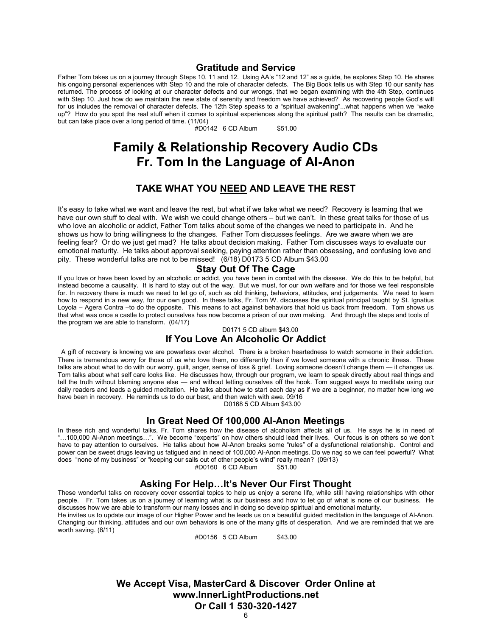#### **Gratitude and Service**

Father Tom takes us on a journey through Steps 10, 11 and 12. Using AA's "12 and 12" as a guide, he explores Step 10. He shares his ongoing personal experiences with Step 10 and the role of character defects. The Big Book tells us with Step 10 our sanity has returned. The process of looking at our character defects and our wrongs, that we began examining with the 4th Step, continues with Step 10. Just how do we maintain the new state of serenity and freedom we have achieved? As recovering people God's will for us includes the removal of character defects. The 12th Step speaks to a "spiritual awakening"...what happens when we "wake up"? How do you spot the real stuff when it comes to spiritual experiences along the spiritual path? The results can be dramatic, but can take place over a long period of time. (11/04)

#D0142 6 CD Album \$51.00

## **Family & Relationship Recovery Audio CDs Fr. Tom In the Language of Al-Anon**

## **TAKE WHAT YOU NEED AND LEAVE THE REST**

It's easy to take what we want and leave the rest, but what if we take what we need? Recovery is learning that we have our own stuff to deal with. We wish we could change others – but we can't. In these great talks for those of us who love an alcoholic or addict, Father Tom talks about some of the changes we need to participate in. And he shows us how to bring willingness to the changes. Father Tom discusses feelings. Are we aware when we are feeling fear? Or do we just get mad? He talks about decision making. Father Tom discusses ways to evaluate our emotional maturity. He talks about approval seeking, paying attention rather than obsessing, and confusing love and pity. These wonderful talks are not to be missed! (6/18) D0173 5 CD Album \$43.00

## **Stay Out Of The Cage**

If you love or have been loved by an alcoholic or addict, you have been in combat with the disease. We do this to be helpful, but instead become a causality. It is hard to stay out of the way. But we must, for our own welfare and for those we feel responsible for. In recovery there is much we need to let go of, such as old thinking, behaviors, attitudes, and judgements. We need to learn how to respond in a new way, for our own good. In these talks, Fr. Tom W. discusses the spiritual principal taught by St. Ignatius Loyola – Agera Contra –to do the opposite. This means to act against behaviors that hold us back from freedom. Tom shows us that what was once a castle to protect ourselves has now become a prison of our own making. And through the steps and tools of the program we are able to transform. (04/17)

D0171 5 CD album \$43.00

#### **If You Love An Alcoholic Or Addict**

A gift of recovery is knowing we are powerless over alcohol. There is a broken heartedness to watch someone in their addiction. There is tremendous worry for those of us who love them, no differently than if we loved someone with a chronic illness. These talks are about what to do with our worry, guilt, anger, sense of loss & grief. Loving someone doesn't change them — it changes us. Tom talks about what self care looks like. He discusses how, through our program, we learn to speak directly about real things and tell the truth without blaming anyone else — and without letting ourselves off the hook. Tom suggest ways to meditate using our daily readers and leads a guided meditation. He talks about how to start each day as if we are a beginner, no matter how long we have been in recovery. He reminds us to do our best, and then watch with awe. 09/16 D0168 5 CD Album \$43.00

## **In Great Need Of 100,000 Al-Anon Meetings**

In these rich and wonderful talks, Fr. Tom shares how the disease of alcoholism affects all of us. He says he is in need of "…100,000 Al-Anon meetings…". We become "experts" on how others should lead their lives. Our focus is on others so we don't have to pay attention to ourselves. He talks about how Al-Anon breaks some "rules" of a dysfunctional relationship. Control and power can be sweet drugs leaving us fatigued and in need of 100,000 Al-Anon meetings. Do we nag so we can feel powerful? What does "none of my business" or "keeping our sails out of other people's wind" really mean? (09/13)

 $#D0160$  6 CD Album

## **Asking For Help…It's Never Our First Thought**

These wonderful talks on recovery cover essential topics to help us enjoy a serene life, while still having relationships with other people. Fr. Tom takes us on a journey of learning what is our business and how to let go of what is none of our business. He discusses how we are able to transform our many losses and in doing so develop spiritual and emotional maturity.

He invites us to update our image of our Higher Power and he leads us on a beautiful guided meditation in the language of Al-Anon. Changing our thinking, attitudes and our own behaviors is one of the many gifts of desperation. And we are reminded that we are worth saving. (8/11)

#D0156 5 CD Album \$43.00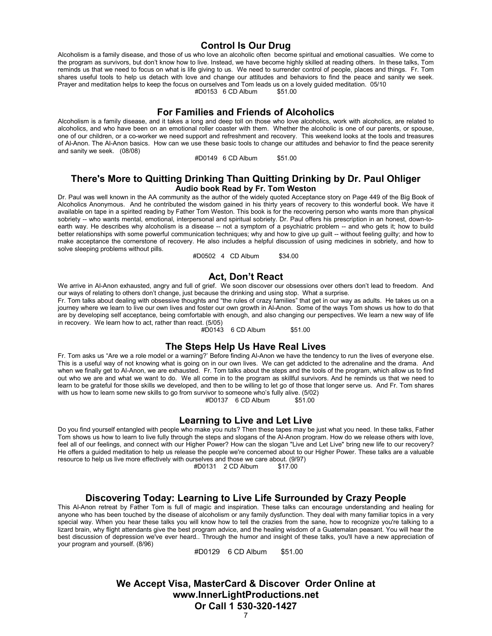#### **Control Is Our Drug**

Alcoholism is a family disease, and those of us who love an alcoholic often become spiritual and emotional casualties. We come to the program as survivors, but don't know how to live. Instead, we have become highly skilled at reading others. In these talks, Tom reminds us that we need to focus on what is life giving to us. We need to surrender control of people, places and things. Fr. Tom shares useful tools to help us detach with love and change our attitudes and behaviors to find the peace and sanity we seek. Prayer and meditation helps to keep the focus on ourselves and Tom leads us on a lovely guided meditation. 05/10 #D0153 6 CD Album

**For Families and Friends of Alcoholics**

Alcoholism is a family disease, and it takes a long and deep toll on those who love alcoholics, work with alcoholics, are related to alcoholics, and who have been on an emotional roller coaster with them. Whether the alcoholic is one of our parents, or spouse, one of our children, or a co-worker we need support and refreshment and recovery. This weekend looks at the tools and treasures of Al-Anon. The Al-Anon basics. How can we use these basic tools to change our attitudes and behavior to find the peace serenity and sanity we seek. (08/08)

#D0149 6 CD Album \$51.00

#### **There's More to Quitting Drinking Than Quitting Drinking by Dr. Paul Ohliger Audio book Read by Fr. Tom Weston**

Dr. Paul was well known in the AA community as the author of the widely quoted Acceptance story on Page 449 of the Big Book of Alcoholics Anonymous. And he contributed the wisdom gained in his thirty years of recovery to this wonderful book. We have it available on tape in a spirited reading by Father Tom Weston. This book is for the recovering person who wants more than physical sobriety -- who wants mental, emotional, interpersonal and spiritual sobriety. Dr. Paul offers his prescription in an honest, down-toearth way. He describes why alcoholism is a disease -- not a symptom of a psychiatric problem -- and who gets it; how to build better relationships with some powerful communication techniques; why and how to give up guilt -- without feeling guilty; and how to make acceptance the cornerstone of recovery. He also includes a helpful discussion of using medicines in sobriety, and how to solve sleeping problems without pills.

#D0502 4 CD Album \$34.00

#### **Act, Don't React**

We arrive in Al-Anon exhausted, angry and full of grief. We soon discover our obsessions over others don't lead to freedom. And our ways of relating to others don't change, just because the drinking and using stop. What a surprise.

Fr. Tom talks about dealing with obsessive thoughts and "the rules of crazy families" that get in our way as adults. He takes us on a journey where we learn to live our own lives and foster our own growth in Al-Anon. Some of the ways Tom shows us how to do that are by developing self acceptance, being comfortable with enough, and also changing our perspectives. We learn a new way of life in recovery. We learn how to act, rather than react. (5/05)

#D0143 6 CD Album \$51.00

#### **The Steps Help Us Have Real Lives**

Fr. Tom asks us "Are we a role model or a warning?' Before finding Al-Anon we have the tendency to run the lives of everyone else. This is a useful way of not knowing what is going on in our own lives. We can get addicted to the adrenaline and the drama. And when we finally get to Al-Anon, we are exhausted. Fr. Tom talks about the steps and the tools of the program, which allow us to find out who we are and what we want to do. We all come in to the program as skillful survivors. And he reminds us that we need to learn to be grateful for those skills we developed, and then to be willing to let go of those that longer serve us. And Fr. Tom shares with us how to learn some new skills to go from survivor to someone who's fully alive. (5/02)

#D0137 6 CD Album \$51.00

#### **Learning to Live and Let Live**

Do you find yourself entangled with people who make you nuts? Then these tapes may be just what you need. In these talks, Father Tom shows us how to learn to live fully through the steps and slogans of the Al-Anon program. How do we release others with love, feel all of our feelings, and connect with our Higher Power? How can the slogan "Live and Let Live" bring new life to our recovery? He offers a guided meditation to help us release the people we're concerned about to our Higher Power. These talks are a valuable resource to help us live more effectively with ourselves and those we care about. (9/97)

#D0131 2 CD Album \$17.00

#### **Discovering Today: Learning to Live Life Surrounded by Crazy People**

This Al-Anon retreat by Father Tom is full of magic and inspiration. These talks can encourage understanding and healing for anyone who has been touched by the disease of alcoholism or any family dysfunction. They deal with many familiar topics in a very special way. When you hear these talks you will know how to tell the crazies from the sane, how to recognize you're talking to a lizard brain, why flight attendants give the best program advice, and the healing wisdom of a Guatemalan peasant. You will hear the best discussion of depression we've ever heard.. Through the humor and insight of these talks, you'll have a new appreciation of your program and yourself. (8/96)

#D0129 6 CD Album \$51.00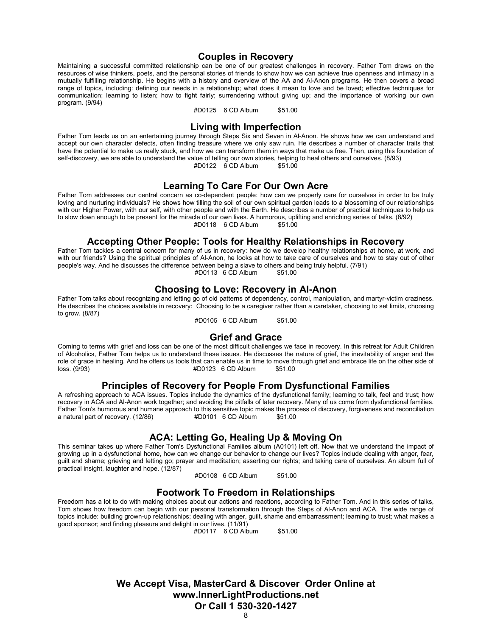#### **Couples in Recovery**

Maintaining a successful committed relationship can be one of our greatest challenges in recovery. Father Tom draws on the resources of wise thinkers, poets, and the personal stories of friends to show how we can achieve true openness and intimacy in a mutually fulfilling relationship. He begins with a history and overview of the AA and Al-Anon programs. He then covers a broad range of topics, including: defining our needs in a relationship; what does it mean to love and be loved; effective techniques for communication; learning to listen; how to fight fairly; surrendering without giving up; and the importance of working our own program. (9/94)

#D0125 6 CD Album \$51.00

## **Living with Imperfection**

Father Tom leads us on an entertaining journey through Steps Six and Seven in Al-Anon. He shows how we can understand and accept our own character defects, often finding treasure where we only saw ruin. He describes a number of character traits that have the potential to make us really stuck, and how we can transform them in ways that make us free. Then, using this foundation of self-discovery, we are able to understand the value of telling our own stories, helping to heal others and ourselves. (8/93)  $#D0122 \quad 6$  CD Album

### **Learning To Care For Our Own Acre**

Father Tom addresses our central concern as co-dependent people: how can we properly care for ourselves in order to be truly loving and nurturing individuals? He shows how tilling the soil of our own spiritual garden leads to a blossoming of our relationships with our Higher Power, with our self, with other people and with the Earth. He describes a number of practical techniques to help us to slow down enough to be present for the miracle of our own lives. A humorous, uplifting and enriching series of talks. (8/92)<br>
#D0118 6 CD Album \$51.00 #D0118 6 CD Album

#### **Accepting Other People: Tools for Healthy Relationships in Recovery**

Father Tom tackles a central concern for many of us in recovery: how do we develop healthy relationships at home, at work, and with our friends? Using the spiritual principles of Al-Anon, he looks at how to take care of ourselves and how to stay out of other people's way. And he discusses the difference between being a slave to others and being truly helpful. (7/91) #D0113 6 CD Album \$51.00

### **Choosing to Love: Recovery in Al-Anon**

Father Tom talks about recognizing and letting go of old patterns of dependency, control, manipulation, and martyr-victim craziness. He describes the choices available in recovery: Choosing to be a caregiver rather than a caretaker, choosing to set limits, choosing to grow. (8/87)

#D0105 6 CD Album \$51.00

#### **Grief and Grace**

Coming to terms with grief and loss can be one of the most difficult challenges we face in recovery. In this retreat for Adult Children of Alcoholics, Father Tom helps us to understand these issues. He discusses the nature of grief, the inevitability of anger and the role of grace in healing. And he offers us tools that can enable us in time to move through grief and embrace life on the other side of<br>  $#D0123 \cdot 6 \text{ CD}$  Album \$51.00 #D0123 6 CD Album

#### **Principles of Recovery for People From Dysfunctional Families**

A refreshing approach to ACA issues. Topics include the dynamics of the dysfunctional family; learning to talk, feel and trust; how recovery in ACA and Al-Anon work together; and avoiding the pitfalls of later recovery. Many of us come from dysfunctional families. Father Tom's humorous and humane approach to this sensitive topic makes the process of discovery, forgiveness and reconciliation<br>a natural part of recovery. (12/86) #D0101 6 CD Album \$51.00 a natural part of recovery. (12/86)

## **ACA: Letting Go, Healing Up & Moving On**

This seminar takes up where Father Tom's Dysfunctional Families album (A0101) left off. Now that we understand the impact of growing up in a dysfunctional home, how can we change our behavior to change our lives? Topics include dealing with anger, fear, guilt and shame; grieving and letting go; prayer and meditation; asserting our rights; and taking care of ourselves. An album full of practical insight, laughter and hope. (12/87)

#D0108 6 CD Album \$51.00

#### **Footwork To Freedom in Relationships**

Freedom has a lot to do with making choices about our actions and reactions, according to Father Tom. And in this series of talks, Tom shows how freedom can begin with our personal transformation through the Steps of Al-Anon and ACA. The wide range of topics include: building grown-up relationships; dealing with anger, guilt, shame and embarrassment; learning to trust; what makes a good sponsor; and finding pleasure and delight in our lives. (11/91)

#D0117 6 CD Album \$51.00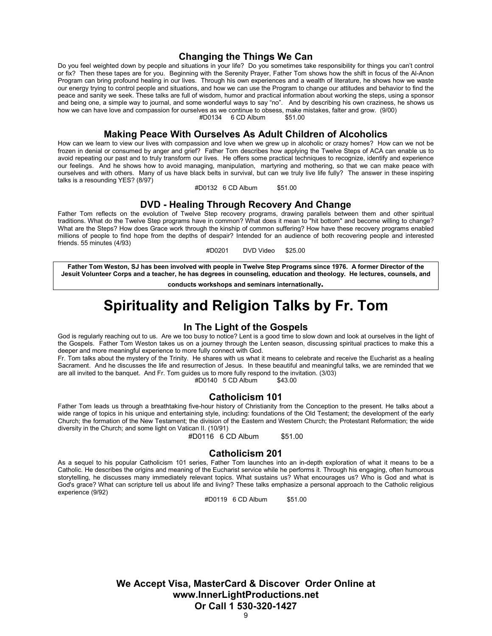#### **Changing the Things We Can**

Do you feel weighted down by people and situations in your life? Do you sometimes take responsibility for things you can't control or fix? Then these tapes are for you. Beginning with the Serenity Prayer, Father Tom shows how the shift in focus of the Al-Anon Program can bring profound healing in our lives. Through his own experiences and a wealth of literature, he shows how we waste our energy trying to control people and situations, and how we can use the Program to change our attitudes and behavior to find the peace and sanity we seek. These talks are full of wisdom, humor and practical information about working the steps, using a sponsor and being one, a simple way to journal, and some wonderful ways to say "no". And by describing his own craziness, he shows us how we can have love and compassion for ourselves as we continue to obsess, make mistakes, falter and grow. (9/00) #D0134 6 CD Album

#### **Making Peace With Ourselves As Adult Children of Alcoholics**

How can we learn to view our lives with compassion and love when we grew up in alcoholic or crazy homes? How can we not be frozen in denial or consumed by anger and grief? Father Tom describes how applying the Twelve Steps of ACA can enable us to avoid repeating our past and to truly transform our lives. He offers some practical techniques to recognize, identify and experience our feelings. And he shows how to avoid managing, manipulation, martyring and mothering, so that we can make peace with ourselves and with others. Many of us have black belts in survival, but can we truly live life fully? The answer in these inspiring talks is a resounding YES? (8/97)

#D0132 6 CD Album \$51.00

#### **DVD - Healing Through Recovery And Change**

Father Tom reflects on the evolution of Twelve Step recovery programs, drawing parallels between them and other spiritual traditions. What do the Twelve Step programs have in common? What does it mean to "hit bottom" and become willing to change? What are the Steps? How does Grace work through the kinship of common suffering? How have these recovery programs enabled millions of people to find hope from the depths of despair? Intended for an audience of both recovering people and interested friends. 55 minutes (4/93)

#D0201 DVD Video \$25.00

**Father Tom Weston, SJ has been involved with people in Twelve Step Programs since 1976. A former Director of the Jesuit Volunteer Corps and a teacher, he has degrees in counseling, education and theology. He lectures, counsels, and**

**conducts workshops and seminars internationally.**

# **Spirituality and Religion Talks by Fr. Tom**

#### **In The Light of the Gospels**

God is regularly reaching out to us. Are we too busy to notice? Lent is a good time to slow down and look at ourselves in the light of the Gospels. Father Tom Weston takes us on a journey through the Lenten season, discussing spiritual practices to make this a deeper and more meaningful experience to more fully connect with God.

Fr. Tom talks about the mystery of the Trinity. He shares with us what it means to celebrate and receive the Eucharist as a healing Sacrament. And he discusses the life and resurrection of Jesus. In these beautiful and meaningful talks, we are reminded that we are all invited to the banquet. And Fr. Tom guides us to more fully respond to the invitation. (3/03) #D0140 5 CD Album \$43.00

#### **Catholicism 101**

Father Tom leads us through a breathtaking five-hour history of Christianity from the Conception to the present. He talks about a wide range of topics in his unique and entertaining style, including: foundations of the Old Testament; the development of the early Church; the formation of the New Testament; the division of the Eastern and Western Church; the Protestant Reformation; the wide diversity in the Church; and some light on Vatican II. (10/91)

#D0116 6 CD Album \$51.00

#### **Catholicism 201**

As a sequel to his popular Catholicism 101 series, Father Tom launches into an in-depth exploration of what it means to be a Catholic. He describes the origins and meaning of the Eucharist service while he performs it. Through his engaging, often humorous storytelling, he discusses many immediately relevant topics. What sustains us? What encourages us? Who is God and what is God's grace? What can scripture tell us about life and living? These talks emphasize a personal approach to the Catholic religious experience (9/92)

#D0119 6 CD Album \$51.00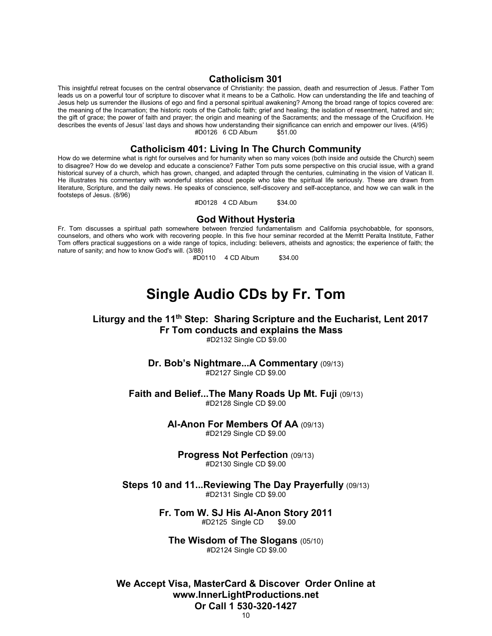#### **Catholicism 301**

This insightful retreat focuses on the central observance of Christianity: the passion, death and resurrection of Jesus. Father Tom leads us on a powerful tour of scripture to discover what it means to be a Catholic. How can understanding the life and teaching of Jesus help us surrender the illusions of ego and find a personal spiritual awakening? Among the broad range of topics covered are: the meaning of the Incarnation; the historic roots of the Catholic faith; grief and healing; the isolation of resentment, hatred and sin; the gift of grace; the power of faith and prayer; the origin and meaning of the Sacraments; and the message of the Crucifixion. He describes the events of Jesus' last days and shows how understanding their significance can enrich and empower our lives. (4/95)<br>#D0126 6 CD Album \$51.00  $#D0126$  6 CD Album

### **Catholicism 401: Living In The Church Community**

How do we determine what is right for ourselves and for humanity when so many voices (both inside and outside the Church) seem to disagree? How do we develop and educate a conscience? Father Tom puts some perspective on this crucial issue, with a grand historical survey of a church, which has grown, changed, and adapted through the centuries, culminating in the vision of Vatican II. He illustrates his commentary with wonderful stories about people who take the spiritual life seriously. These are drawn from literature, Scripture, and the daily news. He speaks of conscience, self-discovery and self-acceptance, and how we can walk in the footsteps of Jesus. (8/96)

#D0128 4 CD Album \$34.00

#### **God Without Hysteria**

Fr. Tom discusses a spiritual path somewhere between frenzied fundamentalism and California psychobabble, for sponsors, counselors, and others who work with recovering people. In this five hour seminar recorded at the Merritt Peralta Institute, Father Tom offers practical suggestions on a wide range of topics, including: believers, atheists and agnostics; the experience of faith; the nature of sanity; and how to know God's will. (3/88)

#D0110 4 CD Album \$34.00

## **Single Audio CDs by Fr. Tom**

#### **Liturgy and the 11th Step: Sharing Scripture and the Eucharist, Lent 2017 Fr Tom conducts and explains the Mass**#D2132 Single CD \$9.00

**Dr. Bob's Nightmare...A Commentary** (09/13) #D2127 Single CD \$9.00

**Faith and Belief...The Many Roads Up Mt. Fuji** (09/13) #D2128 Single CD \$9.00

> **Al-Anon For Members Of AA** (09/13) #D2129 Single CD \$9.00

**Progress Not Perfection** (09/13)

#D2130 Single CD \$9.00

**Steps 10 and 11...Reviewing The Day Prayerfully** (09/13) #D2131 Single CD \$9.00

> **Fr. Tom W. SJ His Al-Anon Story 2011**#D2125 Single CD

**The Wisdom of The Slogans** (05/10) #D2124 Single CD \$9.00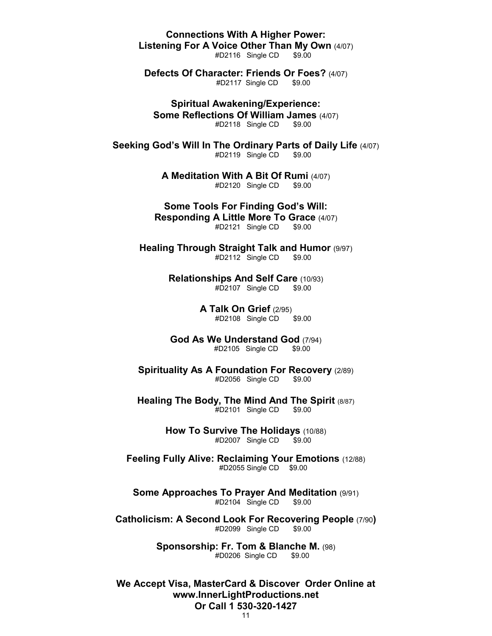**Connections With A Higher Power: Listening For A Voice Other Than My Own (4/07)**<br>#D2116 Single CD \$9.00

 $#D2116$  Single CD

**Defects Of Character: Friends Or Foes?** (4/07) #D2117 Single CD \$9.00

**Spiritual Awakening/Experience: Some Reflections Of William James** (4/07) #D2118 Single CD \$9.00

**Seeking God's Will In The Ordinary Parts of Daily Life** (4/07)  $#D2119$  Single  $CD$ 

> **A Meditation With A Bit Of Rumi** (4/07) #D2120 Single CD \$9.00

**Some Tools For Finding God's Will: Responding A Little More To Grace** (4/07) #D2121 Single CD \$9.00

**Healing Through Straight Talk and Humor** (9/97)<br><sup>#D2112</sup> Single CD \$9.00  $#D2112$  Single CD

> **Relationships And Self Care** (10/93) #D2107 Single CD \$9.00

> > **A Talk On Grief** (2/95) #D2108 Single CD \$9.00

**God As We Understand God** (7/94) #D2105 Single CD \$9.00

**Spirituality As A Foundation For Recovery** (2/89) #D2056 Single CD \$9.00

**Healing The Body, The Mind And The Spirit** (8/87) #D2101 Single CD \$9.00

> **How To Survive The Holidays (10/88)** #D2007 Single CD \$9.00

**Feeling Fully Alive: Reclaiming Your Emotions** (12/88) #D2055 Single CD \$9.00

**Some Approaches To Prayer And Meditation** (9/91)  $#D2104$  Single CD

**Catholicism: A Second Look For Recovering People** (7/90**)**#D2099 Single CD

> **Sponsorship: Fr. Tom & Blanche M.** (98) #D0206 Single CD \$9.00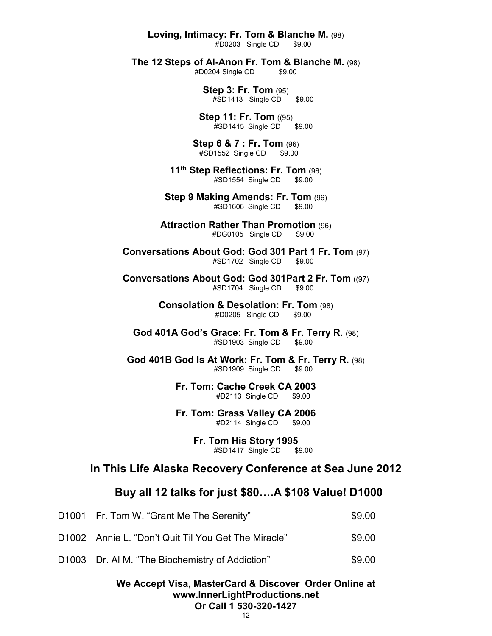**Loving, Intimacy: Fr. Tom & Blanche M.** (98)

 $#D0203$  Single CD

**The 12 Steps of Al-Anon Fr. Tom & Blanche M.** (98)<br>#D0204 Single CD \$9.00

#D0204 Single CD

**Step 3: Fr. Tom** (95) #SD1413 Single CD \$9.00

**Step 11: Fr. Tom ((95)** #SD1415 Single CD \$9.00

**Step 6 & 7 : Fr. Tom** (96) #SD1552 Single CD \$9.00

**11th Step Reflections: Fr. Tom** (96) #SD1554 Single CD \$9.00

**Step 9 Making Amends: Fr. Tom** (96) #SD1606 Single CD \$9.00

**Attraction Rather Than Promotion** (96) #DG0105 Single CD \$9.00

**Conversations About God: God 301 Part 1 Fr. Tom** (97) #SD1702 Single CD \$9.00

**Conversations About God: God 301Part 2 Fr. Tom** ((97) #SD1704 Single CD \$9.00

> **Consolation & Desolation: Fr. Tom** (98) #D0205 Single CD \$9.00

**God 401A God's Grace: Fr. Tom & Fr. Terry R.** (98) #SD1903 Single CD \$9.00

**God 401B God Is At Work: Fr. Tom & Fr. Terry R.** (98) #SD1909 Single CD \$9.00

> **Fr. Tom: Cache Creek CA 2003**#D2113 Single CD \$9.00

> **Fr. Tom: Grass Valley CA 2006**#D2114 Single CD \$9.00

> > **Fr. Tom His Story 1995**#SD1417 Single CD \$9.00

## **In This Life Alaska Recovery Conference at Sea June 2012**

## **Buy all 12 talks for just \$80….A \$108 Value! D1000**

| D1001 Fr. Tom W. "Grant Me The Serenity"            | \$9.00 |
|-----------------------------------------------------|--------|
| D1002 Annie L. "Don't Quit Til You Get The Miracle" | \$9.00 |
| D1003 Dr. AI M. "The Biochemistry of Addiction"     | \$9.00 |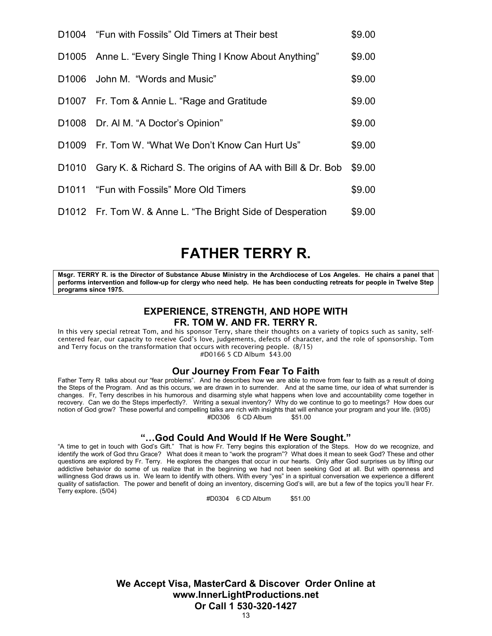| D1004 "Fun with Fossils" Old Timers at Their best                | \$9.00 |
|------------------------------------------------------------------|--------|
| D1005 Anne L. "Every Single Thing I Know About Anything"         | \$9.00 |
| D1006 John M. "Words and Music"                                  | \$9.00 |
| D1007 Fr. Tom & Annie L. "Rage and Gratitude                     | \$9.00 |
| D1008 Dr. AI M. "A Doctor's Opinion"                             | \$9.00 |
| D1009 Fr. Tom W. "What We Don't Know Can Hurt Us"                | \$9.00 |
| D1010 Gary K. & Richard S. The origins of AA with Bill & Dr. Bob | \$9.00 |
| D1011 "Fun with Fossils" More Old Timers                         | \$9.00 |
| D1012 Fr. Tom W. & Anne L. "The Bright Side of Desperation       | \$9.00 |

# **FATHER TERRY R.**

**Msgr. TERRY R. is the Director of Substance Abuse Ministry in the Archdiocese of Los Angeles. He chairs a panel that performs intervention and follow-up for clergy who need help. He has been conducting retreats for people in Twelve Step programs since 1975.**

## **EXPERIENCE, STRENGTH, AND HOPE WITH FR. TOM W. AND FR. TERRY R.**

In this very special retreat Tom, and his sponsor Terry, share their thoughts on a variety of topics such as sanity, selfcentered fear, our capacity to receive God's love, judgements, defects of character, and the role of sponsorship. Tom and Terry focus on the transformation that occurs with recovering people. (8/15) #D0166 5 CD Album \$43.00

#### **Our Journey From Fear To Faith**

Father Terry R talks about our "fear problems". And he describes how we are able to move from fear to faith as a result of doing the Steps of the Program. And as this occurs, we are drawn in to surrender. And at the same time, our idea of what surrender is changes. Fr, Terry describes in his humorous and disarming style what happens when love and accountability come together in recovery. Can we do the Steps imperfectly?. Writing a sexual inventory? Why do we continue to go to meetings? How does our notion of God grow? These powerful and compelling talks are rich with insights that will enhance your program and your life. (9/05) #D0306 6 CD Album \$51.00

## **"…God Could And Would If He Were Sought."**

"A time to get in touch with God's Gift." That is how Fr. Terry begins this exploration of the Steps. How do we recognize, and identify the work of God thru Grace? What does it mean to "work the program"? What does it mean to seek God? These and other questions are explored by Fr. Terry. He explores the changes that occur in our hearts. Only after God surprises us by lifting our addictive behavior do some of us realize that in the beginning we had not been seeking God at all. But with openness and willingness God draws us in. We learn to identify with others. With every "yes" in a spiritual conversation we experience a different quality of satisfaction. The power and benefit of doing an inventory, discerning God's will, are but a few of the topics you'll hear Fr. Terry explore. (5/04)

#D0304 6 CD Album \$51.00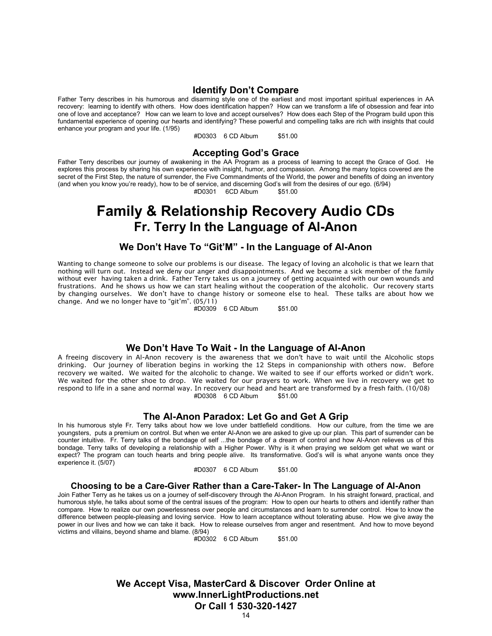#### **Identify Don't Compare**

Father Terry describes in his humorous and disarming style one of the earliest and most important spiritual experiences in AA recovery: learning to identify with others. How does identification happen? How can we transform a life of obsession and fear into one of love and acceptance? How can we learn to love and accept ourselves? How does each Step of the Program build upon this fundamental experience of opening our hearts and identifying? These powerful and compelling talks are rich with insights that could enhance your program and your life. (1/95)

#D0303 6 CD Album \$51.00

### **Accepting God's Grace**

Father Terry describes our journey of awakening in the AA Program as a process of learning to accept the Grace of God. He explores this process by sharing his own experience with insight, humor, and compassion. Among the many topics covered are the secret of the First Step, the nature of surrender, the Five Commandments of the World, the power and benefits of doing an inventory (and when you know you're ready), how to be of service, and discerning God's will from the desires of our ego. (6/94)

#D0301 6CD Album \$51.00

# **Family & Relationship Recovery Audio CDs Fr. Terry In the Language of Al-Anon**

#### **We Don't Have To "Git'M" - In the Language of Al-Anon**

Wanting to change someone to solve our problems is our disease. The legacy of loving an alcoholic is that we learn that nothing will turn out. Instead we deny our anger and disappointments. And we become a sick member of the family without ever having taken a drink. Father Terry takes us on a journey of getting acquainted with our own wounds and frustrations. And he shows us how we can start healing without the cooperation of the alcoholic. Our recovery starts by changing ourselves. We don't have to change history or someone else to heal. These talks are about how we change. And we no longer have to "git'm". (05/11)

#D0309 6 CD Album \$51.00

## **We Don't Have To Wait - In the Language of Al-Anon**

A freeing discovery in Al-Anon recovery is the awareness that we don't have to wait until the Alcoholic stops drinking. Our journey of liberation begins in working the 12 Steps in companionship with others now. Before recovery we waited. We waited for the alcoholic to change. We waited to see if our efforts worked or didn't work. We waited for the other shoe to drop. We waited for our prayers to work. When we live in recovery we get to respond to life in a sane and normal way. In recovery our head and heart are transformed by a fresh faith. (10/08) #D0308 6 CD Album

#### **The Al-Anon Paradox: Let Go and Get A Grip**

In his humorous style Fr. Terry talks about how we love under battlefield conditions. How our culture, from the time we are youngsters, puts a premium on control. But when we enter Al-Anon we are asked to give up our plan. This part of surrender can be counter intuitive. Fr. Terry talks of the bondage of self ...the bondage of a dream of control and how Al-Anon relieves us of this bondage. Terry talks of developing a relationship with a Higher Power. Why is it when praying we seldom get what we want or expect? The program can touch hearts and bring people alive. Its transformative. God's will is what anyone wants once they experience it. (5/07)

#D0307 6 CD Album \$51.00

#### **Choosing to be a Care-Giver Rather than a Care-Taker- In The Language of Al-Anon**

Join Father Terry as he takes us on a journey of self-discovery through the Al-Anon Program. In his straight forward, practical, and humorous style, he talks about some of the central issues of the program: How to open our hearts to others and identify rather than compare. How to realize our own powerlessness over people and circumstances and learn to surrender control. How to know the difference between people-pleasing and loving service. How to learn acceptance without tolerating abuse. How we give away the power in our lives and how we can take it back. How to release ourselves from anger and resentment. And how to move beyond victims and villains, beyond shame and blame. (8/94)

#D0302 6 CD Album \$51.00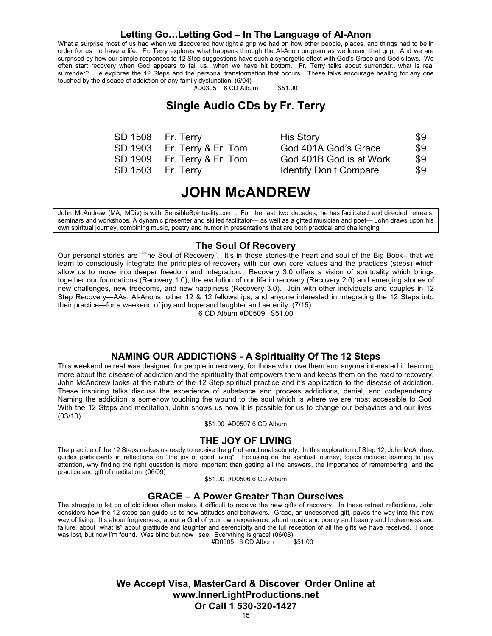#### **Letting Go…Letting God – In The Language of Al-Anon**

What a surprise most of us had when we discovered how tight a grip we had on how other people, places, and things had to be in order for us to have a life. Fr. Terry explores what happens through the Al-Anon program as we loosen that grip. And we are surprised by how our simple responses to 12 Step suggestions have such a synergetic effect with God's Grace and God's laws. We often start recovery when God appears to fail us…when we have hit bottom. Fr. Terry talks about surrender…what is real surrender? He explores the 12 Steps and the personal transformation that occurs. These talks encourage healing for any one touched by the disease of addiction or any family dysfunction. (6/04)

#D0305 6 CD Album \$51.00

## **Single Audio CDs by Fr. Terry**

| SD 1508 Fr. Terry           | <b>His Story</b>              | \$9 |
|-----------------------------|-------------------------------|-----|
| SD 1903 Fr. Terry & Fr. Tom | God 401A God's Grace          | \$9 |
| SD 1909 Fr. Terry & Fr. Tom | God 401B God is at Work       | \$9 |
| SD 1503 Fr. Terry           | <b>Identify Don't Compare</b> | \$9 |

| <b>HIS Story</b>              | -59 |
|-------------------------------|-----|
| God 401A God's Grace          | \$9 |
| God 401B God is at Work       | \$9 |
| <b>Identify Don't Compare</b> | \$9 |

## **JOHN McANDREW**

John McAndrew (MA, MDiv) is with SensibleSpirituality.com . For the last two decades, he has facilitated and directed retreats, seminars and workshops. A dynamic presenter and skilled facilitator— as well as a gifted musician and poet— John draws upon his own spiritual journey, combining music, poetry and humor in presentations that are both practical and challenging

#### **The Soul Of Recovery**

Our personal stories are "The Soul of Recovery". It's in those stories-the heart and soul of the Big Book– that we learn to consciously integrate the principles of recovery with our own core values and the practices (steps) which allow us to move into deeper freedom and integration. Recovery 3.0 offers a vision of spirituality which brings together our foundations (Recovery 1.0), the evolution of our life in recovery (Recovery 2.0) and emerging stories of new challenges, new freedoms, and new happiness (Recovery 3.0). Join with other individuals and couples in 12 Step Recovery—AAs, Al-Anons, other 12 & 12 fellowships, and anyone interested in integrating the 12 Steps into their practice—for a weekend of joy and hope and laughter and serenity. (7/15)

6 CD Album #D0509 \$51.00

#### **NAMING OUR ADDICTIONS - A Spirituality Of The 12 Steps**

This weekend retreat was designed for people in recovery, for those who love them and anyone interested in learning more about the disease of addiction and the spirituality that empowers them and keeps them on the road to recovery. John McAndrew looks at the nature of the 12 Step spiritual practice and it's application to the disease of addiction. These inspiring talks discuss the experience of substance and process addictions, denial, and codependency. Naming the addiction is somehow touching the wound to the soul which is where we are most accessible to God. With the 12 Steps and meditation, John shows us how it is possible for us to change our behaviors and our lives. (03/10)

\$51.00 #D0507 6 CD Album

#### **THE JOY OF LIVING**

The practice of the 12 Steps makes us ready to receive the gift of emotional sobriety. In this exploration of Step 12, John McAndrew guides participants in reflections on "the joy of good living". Focusing on the spiritual journey, topics include: learning to pay attention, why finding the right question is more important than getting all the answers, the importance of remembering, and the practice and gift of meditation. (06/09)

\$51.00 #D0506 6 CD Album

## **GRACE – A Power Greater Than Ourselves**

The struggle to let go of old ideas often makes it difficult to receive the new gifts of recovery. In these retreat reflections, John considers how the 12 steps can guide us to new attitudes and behaviors. Grace, an undeserved gift, paves the way into this new way of living. It's about forgiveness, about a God of your own experience, about music and poetry and beauty and brokenness and failure, about "what is" about gratitude and laughter and serendipity and the full reception of all the gifts we have received. I once was lost, but now I'm found. Was blind but now I see. Everything is grace! (06/08)<br>251.00 #D0505 6 CD Album

 $#D0505$  6 CD Album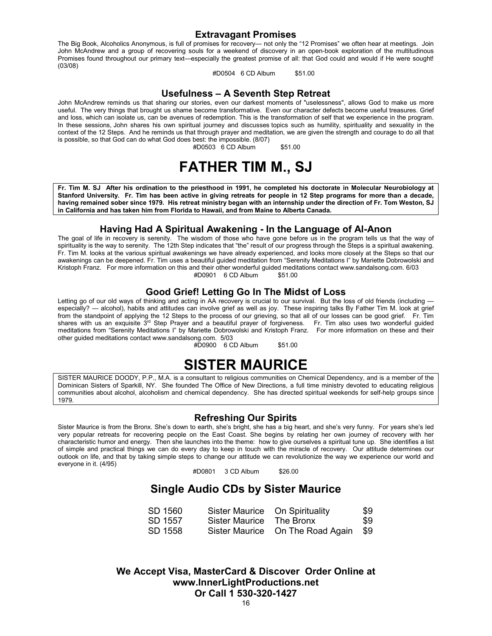#### **Extravagant Promises**

The Big Book, Alcoholics Anonymous, is full of promises for recovery— not only the "12 Promises" we often hear at meetings. Join John McAndrew and a group of recovering souls for a weekend of discovery in an open-book exploration of the multitudinous Promises found throughout our primary text—especially the greatest promise of all: that God could and would if He were sought! (03/08)

#D0504 6 CD Album \$51.00

#### **Usefulness – A Seventh Step Retreat**

John McAndrew reminds us that sharing our stories, even our darkest moments of "uselessness", allows God to make us more useful. The very things that brought us shame become transformative. Even our character defects become useful treasures. Grief and loss, which can isolate us, can be avenues of redemption. This is the transformation of self that we experience in the program. In these sessions, John shares his own spiritual journey and discusses topics such as humility, spirituality and sexuality in the context of the 12 Steps. And he reminds us that through prayer and meditation, we are given the strength and courage to do all that is possible, so that God can do what God does best: the impossible. (8/07)

#D0503 6 CD Album \$51.00

# **FATHER TIM M., SJ**

**Fr. Tim M. SJ After his ordination to the priesthood in 1991, he completed his doctorate in Molecular Neurobiology at Stanford University. Fr. Tim has been active in giving retreats for people in 12 Step programs for more than a decade, having remained sober since 1979. His retreat ministry began with an internship under the direction of Fr. Tom Weston, SJ in California and has taken him from Florida to Hawaii, and from Maine to Alberta Canada.**

### **Having Had A Spiritual Awakening - In the Language of Al-Anon**

The goal of life in recovery is serenity. The wisdom of those who have gone before us in the program tells us that the way of spirituality is the way to serenity. The 12th Step indicates that "the" result of our progress through the Steps is a spiritual awakening. Fr. Tim M. looks at the various spiritual awakenings we have already experienced, and looks more closely at the Steps so that our awakenings can be deepened. Fr. Tim uses a beautiful guided meditation from "Serenity Meditations I" by Mariette Dobrowolski and Kristoph Franz. For more information on this and their other wonderful guided meditations contact www.sandalsong.com. 6/03 #D0901 6 CD Album \$51.00

## **Good Grief! Letting Go In The Midst of Loss**

Letting go of our old ways of thinking and acting in AA recovery is crucial to our survival. But the loss of old friends (including especially? — alcohol), habits and attitudes can involve grief as well as joy. These inspiring talks By Father Tim M. look at grief from the standpoint of applying the 12 Steps to the process of our grieving, so that all of our losses can be good grief. Fr. Tim shares with us an exquisite 3rd Step Prayer and a beautiful prayer of forgiveness. Fr. Tim also uses two wonderful guided meditations from "Serenity Meditations I" by Mariette Dobrowolski and Kristoph Franz. For more information on these and their other guided meditations contact www.sandalsong.com. 5/03

#D0900 6 CD Album \$51.00

# **SISTER MAURICE**

SISTER MAURICE DOODY, P.P., M.A. is a consultant to religious communities on Chemical Dependency, and is a member of the Dominican Sisters of Sparkill, NY. She founded The Office of New Directions, a full time ministry devoted to educating religious communities about alcohol, alcoholism and chemical dependency. She has directed spiritual weekends for self-help groups since 1979.

## **Refreshing Our Spirits**

Sister Maurice is from the Bronx. She's down to earth, she's bright, she has a big heart, and she's very funny. For years she's led very popular retreats for recovering people on the East Coast. She begins by relating her own journey of recovery with her characteristic humor and energy. Then she launches into the theme: how to give ourselves a spiritual tune up. She identifies a list of simple and practical things we can do every day to keep in touch with the miracle of recovery. Our attitude determines our outlook on life, and that by taking simple steps to change our attitude we can revolutionize the way we experience our world and everyone in it. (4/95)

#D0801 3 CD Album \$26.00

## **Single Audio CDs by Sister Maurice**

| SD 1560 | Sister Maurice On Spirituality |                                      | \$9 |
|---------|--------------------------------|--------------------------------------|-----|
| SD 1557 | Sister Maurice The Bronx       |                                      | \$9 |
| SD 1558 |                                | Sister Maurice On The Road Again \$9 |     |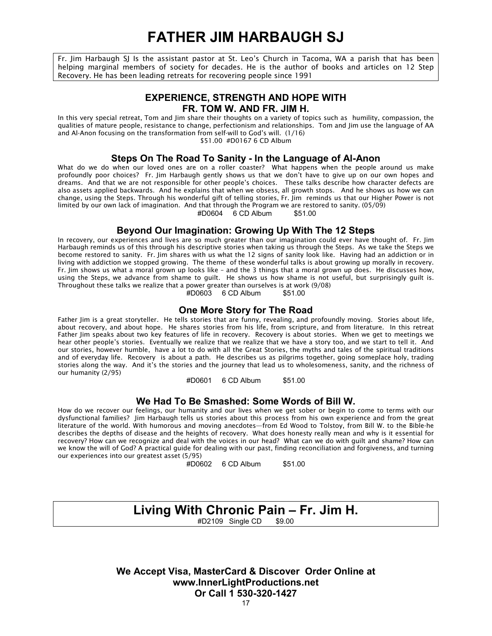# **FATHER JIM HARBAUGH SJ**

Fr. Jim Harbaugh SJ Is the assistant pastor at St. Leo's Church in Tacoma, WA a parish that has been helping marginal members of society for decades. He is the author of books and articles on 12 Step Recovery. He has been leading retreats for recovering people since 1991

## **EXPERIENCE, STRENGTH AND HOPE WITH FR. TOM W. AND FR. JIM H.**

In this very special retreat, Tom and Jim share their thoughts on a variety of topics such as humility, compassion, the qualities of mature people, resistance to change, perfectionism and relationships. Tom and Jim use the language of AA and Al-Anon focusing on the transformation from self-will to God's will. (1/16) \$51.00 #D0167 6 CD Album

**Steps On The Road To Sanity - In the Language of Al-Anon**

What do we do when our loved ones are on a roller coaster? What happens when the people around us make profoundly poor choices? Fr. Jim Harbaugh gently shows us that we don't have to give up on our own hopes and dreams. And that we are not responsible for other people's choices. These talks describe how character defects are also assets applied backwards. And he explains that when we obsess, all growth stops. And he shows us how we can change, using the Steps. Through his wonderful gift of telling stories, Fr. Jim reminds us that our Higher Power is not limited by our own lack of imagination. And that through the Program we are restored to sanity. (05/09)

#D0604 6 CD Album \$51.00

## **Beyond Our Imagination: Growing Up With The 12 Steps**

In recovery, our experiences and lives are so much greater than our imagination could ever have thought of. Fr. Jim Harbaugh reminds us of this through his descriptive stories when taking us through the Steps. As we take the Steps we become restored to sanity. Fr. Jim shares with us what the 12 signs of sanity look like. Having had an addiction or in living with addiction we stopped growing. The theme of these wonderful talks is about growing up morally in recovery. Fr. Jim shows us what a moral grown up looks like – and the 3 things that a moral grown up does. He discusses how, using the Steps, we advance from shame to guilt. He shows us how shame is not useful, but surprisingly guilt is. Throughout these talks we realize that a power greater than ourselves is at work (9/08)

#D0603 6 CD Album \$51.00

### **One More Story for The Road**

Father Jim is a great storyteller. He tells stories that are funny, revealing, and profoundly moving. Stories about life, about recovery, and about hope. He shares stories from his life, from scripture, and from literature. In this retreat Father Jim speaks about two key features of life in recovery. Recovery is about stories. When we get to meetings we hear other people's stories. Eventually we realize that we realize that we have a story too, and we start to tell it. And our stories, however humble, have a lot to do with all the Great Stories, the myths and tales of the spiritual traditions and of everyday life. Recovery is about a path. He describes us as pilgrims together, going someplace holy, trading stories along the way. And it's the stories and the journey that lead us to wholesomeness, sanity, and the richness of our humanity (2/95)

#D0601 6 CD Album \$51.00

#### **We Had To Be Smashed: Some Words of Bill W.**

How do we recover our feelings, our humanity and our lives when we get sober or begin to come to terms with our dysfunctional families? Jim Harbaugh tells us stories about this process from his own experience and from the great literature of the world. With humorous and moving anecdotes—from Ed Wood to Tolstoy, from Bill W. to the Bible-he describes the depths of disease and the heights of recovery. What does honesty really mean and why is it essential for recovery? How can we recognize and deal with the voices in our head? What can we do with guilt and shame? How can we know the will of God? A practical guide for dealing with our past, finding reconciliation and forgiveness, and turning our experiences into our greatest asset (5/95)

#D0602 6 CD Album \$51.00

## **Living With Chronic Pain – Fr. Jim H.** #D2109 Single CD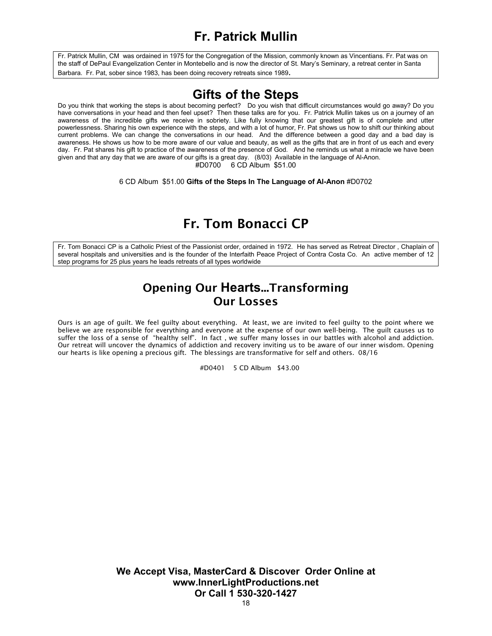## **Fr. Patrick Mullin**

Fr. Patrick Mullin, CM was ordained in 1975 for the Congregation of the Mission, commonly known as Vincentians. Fr. Pat was on the staff of DePaul Evangelization Center in Montebello and is now the director of St. Mary's Seminary, a retreat center in Santa Barbara. Fr. Pat, sober since 1983, has been doing recovery retreats since 1989.

## **Gifts of the Steps**

Do you think that working the steps is about becoming perfect? Do you wish that difficult circumstances would go away? Do you have conversations in your head and then feel upset? Then these talks are for you. Fr. Patrick Mullin takes us on a journey of an awareness of the incredible gifts we receive in sobriety. Like fully knowing that our greatest gift is of complete and utter powerlessness. Sharing his own experience with the steps, and with a lot of humor, Fr. Pat shows us how to shift our thinking about current problems. We can change the conversations in our head. And the difference between a good day and a bad day is awareness. He shows us how to be more aware of our value and beauty, as well as the gifts that are in front of us each and every day. Fr. Pat shares his gift to practice of the awareness of the presence of God. And he reminds us what a miracle we have been given and that any day that we are aware of our gifts is a great day. (8/03) Available in the language of Al-Anon.  $\text{\#}$ D0700 6 CD Album \$51.00

6 CD Album \$51.00 **Gifts of the Steps In The Language of Al-Anon** #D0702

## Fr. Tom Bonacci CP

Fr. Tom Bonacci CP is a Catholic Priest of the Passionist order, ordained in 1972. He has served as Retreat Director , Chaplain of several hospitals and universities and is the founder of the Interfaith Peace Project of Contra Costa Co. An active member of 12 step programs for 25 plus years he leads retreats of all types worldwide

## Opening Our **Hearts**...Transforming Our Losses

Ours is an age of guilt. We feel guilty about everything. At least, we are invited to feel guilty to the point where we believe we are responsible for everything and everyone at the expense of our own well-being. The guilt causes us to suffer the loss of a sense of "healthy self". In fact , we suffer many losses in our battles with alcohol and addiction. Our retreat will uncover the dynamics of addiction and recovery inviting us to be aware of our inner wisdom. Opening our hearts is like opening a precious gift. The blessings are transformative for self and others. 08/16

#D0401 5 CD Album \$43.00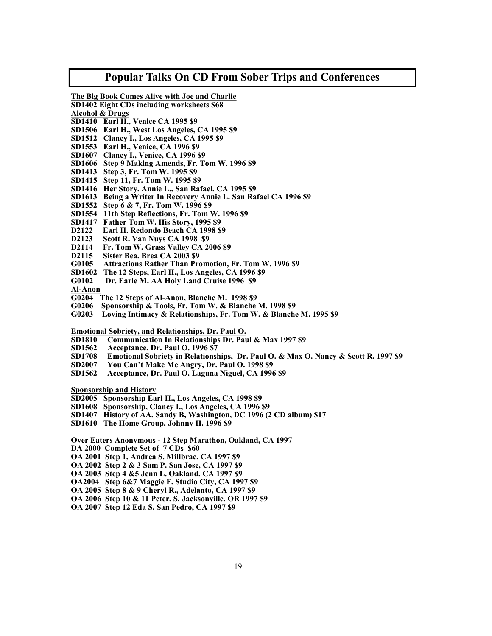#### **Popular Talks On CD From Sober Trips and Conferences**

**The Big Book Comes Alive with Joe and Charlie**

**SD1402 Eight CDs including worksheets \$68**

- **Alcohol & Drugs**
- **SD1410 Earl H., Venice CA 1995 \$9**
- **SD1506 Earl H., West Los Angeles, CA 1995 \$9**
- **SD1512 Clancy I., Los Angeles, CA 1995 \$9**
- **SD1553 Earl H., Venice, CA 1996 \$9**
- **SD1607 Clancy I., Venice, CA 1996 \$9**
- **SD1606 Step 9 Making Amends, Fr. Tom W. 1996 \$9**
- **SD1413 Step 3, Fr. Tom W. 1995 \$9**
- **SD1415 Step 11, Fr. Tom W. 1995 \$9**
- **SD1416 Her Story, Annie L., San Rafael, CA 1995 \$9**
- **SD1613 Being a Writer In Recovery Annie L. San Rafael CA 1996 \$9**
- **SD1552 Step 6 & 7, Fr. Tom W. 1996 \$9**
- **SD1554 11th Step Reflections, Fr. Tom W. 1996 \$9**
- **SD1417 Father Tom W. His Story, 1995 \$9**
- **D2122 Earl H. Redondo Beach CA 1998 \$9**
- **D2123 Scott R. Van Nuys CA 1998 \$9**
- **D2114 Fr. Tom W. Grass Valley CA 2006 \$9**
- **D2115 Sister Bea, Brea CA 2003 \$9**
- **G0105 Attractions Rather Than Promotion, Fr. Tom W. 1996 \$9**
- **SD1602 The 12 Steps, Earl H., Los Angeles, CA 1996 \$9**
- **G0102 Dr. Earle M. AA Holy Land Cruise 1996 \$9**
- **Al-Anon**
- **G0204 The 12 Steps of Al-Anon, Blanche M. 1998 \$9**
- **G0206 Sponsorship & Tools, Fr. Tom W. & Blanche M. 1998 \$9**
- **G0203 Loving Intimacy & Relationships, Fr. Tom W. & Blanche M. 1995 \$9**

**Emotional Sobriety, and Relationships, Dr. Paul O.**

- **SD1810 Communication In Relationships Dr. Paul & Max 1997 \$9**
- **SD1562 Acceptance, Dr. Paul O. 1996 \$7**
- **SD1708 Emotional Sobriety in Relationships, Dr. Paul O. & Max O. Nancy & Scott R. 1997 \$9**
- **SD2007 You Can't Make Me Angry, Dr. Paul O. 1998 \$9**
- **SD1562 Acceptance, Dr. Paul O. Laguna Niguel, CA 1996 \$9**

**Sponsorship and History**

- **SD2005 Sponsorship Earl H., Los Angeles, CA 1998 \$9**
- **SD1608 Sponsorship, Clancy I., Los Angeles, CA 1996 \$9**
- **SD1407 History of AA, Sandy B, Washington, DC 1996 (2 CD album) \$17**
- **SD1610 The Home Group, Johnny H. 1996 \$9**

**Over Eaters Anonymous - 12 Step Marathon, Oakland, CA 1997**

- **DA 2000 Complete Set of 7 CDs \$60**
- **OA 2001 Step 1, Andrea S. Millbrae, CA 1997 \$9**
- **OA 2002 Step 2 & 3 Sam P. San Jose, CA 1997 \$9**
- **OA 2003 Step 4 &5 Jenn L. Oakland, CA 1997 \$9**
- **OA2004 Step 6&7 Maggie F. Studio City, CA 1997 \$9**
- **OA 2005 Step 8 & 9 Cheryl R., Adelanto, CA 1997 \$9**
- **OA 2006 Step 10 & 11 Peter, S. Jacksonville, OR 1997 \$9**
- **OA 2007 Step 12 Eda S. San Pedro, CA 1997 \$9**